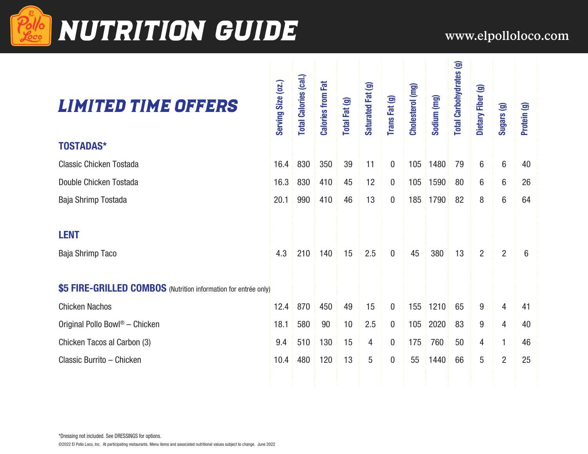

# **Pello NUTRITION GUIDE** www.elpolloloco.com

| <b>LIMITED TIME OFFERS</b>                                      | Serving Size (02.) | <b>Total Calories (cal.)</b> | <b>Calories from Fat</b> | Total Fat (g) | Saturated Fat (g) | Trans Fat (g)    | Cholesterol (mg) | Sodium (mg) | <b>Total Carbohydrates (g)</b> | Dietary Fiber (g) | Sugars (g)     | Protein (g) |  |
|-----------------------------------------------------------------|--------------------|------------------------------|--------------------------|---------------|-------------------|------------------|------------------|-------------|--------------------------------|-------------------|----------------|-------------|--|
| <b>TOSTADAS*</b>                                                |                    |                              |                          |               |                   |                  |                  |             |                                |                   |                |             |  |
| <b>Classic Chicken Tostada</b>                                  | 16.4               | 830                          | 350                      | 39            | 11                | $\mathbf{0}$     | 105              | 1480        | 79                             | 6                 | 6              | 40          |  |
| Double Chicken Tostada                                          | 16.3               | 830                          | 410                      | 45            | 12                | $\boldsymbol{0}$ | 105              | 1590        | 80                             | 6                 | 6              | 26          |  |
| Baja Shrimp Tostada                                             | 20.1               | 990                          | 410                      | 46            | 13                | $\boldsymbol{0}$ | 185              | 1790        | 82                             | 8                 | 6              | 64          |  |
| <b>LENT</b><br>Baja Shrimp Taco                                 | 4.3                | 210                          | 140                      | 15            | 2.5               | $\overline{0}$   | 45               | 380         | 13                             | $\overline{2}$    | $\overline{2}$ | 6           |  |
| \$5 FIRE-GRILLED COMBOS (Nutrition information for entrée only) |                    |                              |                          |               |                   |                  |                  |             |                                |                   |                |             |  |
| <b>Chicken Nachos</b>                                           | 12.4               | 870                          | 450                      | 49            | 15                | $\mathbf{0}$     | 155              | 1210        | 65                             | 9                 | 4              | 41          |  |
| Original Pollo Bowl <sup>®</sup> - Chicken                      | 18.1               | 580                          | 90                       | 10            | 2.5               | $\boldsymbol{0}$ | 105              | 2020        | 83                             | 9                 | 4              | 40          |  |
| Chicken Tacos al Carbon (3)                                     | 9.4                | 510                          | 130                      | 15            | 4                 | $\mathbf{0}$     | 175              | 760         | 50                             | 4                 | 1              | 46          |  |
| Classic Burrito - Chicken                                       | 10.4               | 480                          | 120                      | 13            | 5                 | $\mathbf 0$      | 55               | 1440        | 66                             | 5                 | $\overline{2}$ | 25          |  |
|                                                                 |                    |                              |                          |               |                   |                  |                  |             |                                |                   |                |             |  |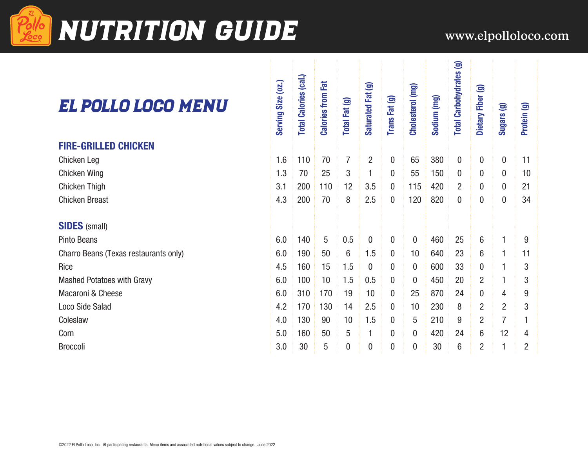

## **Pollo NUTRITION GUIDE** www.elpolloloco.com

### El Pollo Loco Menu

#### **FIRE-GRILLED CHICKEN**

#### **SIDES** (small)

| EL POLLO LOGO MENU                    | Serving Size (02.) | <b>Total Calories (cal.)</b> | <b>Calories from Fat</b> | Total Fat (g)    | Saturated Fat (g) | Trans Fat (g)    | Cholesterol (mg) | Sodium (mg) | <b>Total Carbohydrates (g)</b> | Dietary Fiber (g) | Sugars (g)       | Protein (g)    |
|---------------------------------------|--------------------|------------------------------|--------------------------|------------------|-------------------|------------------|------------------|-------------|--------------------------------|-------------------|------------------|----------------|
| <b>FIRE-GRILLED CHICKEN</b>           |                    |                              |                          |                  |                   |                  |                  |             |                                |                   |                  |                |
| Chicken Leg                           | 1.6                | 110                          | 70                       | $\overline{7}$   | $\overline{2}$    | 0                | 65               | 380         | $\mathbf 0$                    | 0                 | $\boldsymbol{0}$ | 11             |
| Chicken Wing                          | 1.3                | 70                           | 25                       | 3                | 1                 | 0                | 55               | 150         | 0                              | $\boldsymbol{0}$  | $\boldsymbol{0}$ | 10             |
| Chicken Thigh                         | 3.1                | 200                          | 110                      | 12               | 3.5               | $\overline{0}$   | 115              | 420         | $\overline{2}$                 | 0                 | $\mathbf 0$      | 21             |
| <b>Chicken Breast</b>                 | 4.3                | 200                          | 70                       | 8                | 2.5               | 0                | 120              | 820         | 0                              | 0                 | $\boldsymbol{0}$ | 34             |
| <b>SIDES</b> (small)                  |                    |                              |                          |                  |                   |                  |                  |             |                                |                   |                  |                |
| Pinto Beans                           | 6.0                | 140                          | 5                        | 0.5              | $\boldsymbol{0}$  | $\boldsymbol{0}$ | $\boldsymbol{0}$ | 460         | 25                             | 6                 | $\mathbf{1}$     | 9              |
| Charro Beans (Texas restaurants only) | 6.0                | 190                          | 50                       | 6                | 1.5               | 0                | 10               | 640         | 23                             | 6                 | 1                | 11             |
| Rice                                  | 4.5                | 160                          | 15                       | 1.5              | 0                 | 0                | $\mathbf 0$      | 600         | 33                             | $\mathbf 0$       | 1                | 3              |
| <b>Mashed Potatoes with Gravy</b>     | 6.0                | 100                          | 10                       | 1.5              | 0.5               | 0                | $\mathbf{0}$     | 450         | 20                             | $\overline{2}$    | 1                | 3              |
| Macaroni & Cheese                     | 6.0                | 310                          | 170                      | 19               | 10                | 0                | 25               | 870         | 24                             | 0                 | 4                | 9              |
| Loco Side Salad                       | 4.2                | 170                          | 130                      | 14               | 2.5               | 0                | 10               | 230         | 8                              | $\overline{2}$    | $\overline{2}$   | 3              |
| Coleslaw                              | 4.0                | 130                          | 90                       | 10               | 1.5               | 0                | 5                | 210         | 9                              | $\overline{2}$    | $\overline{7}$   |                |
| Corn                                  | 5.0                | 160                          | 50                       | 5                | 1                 | 0                | 0                | 420         | 24                             | 6                 | 12               | 4              |
| Broccoli                              | 3.0                | 30                           | $5\phantom{.0}$          | $\boldsymbol{0}$ | 0                 | 0                | $\mathbf 0$      | 30          | 6                              | 2                 | 1                | $\overline{2}$ |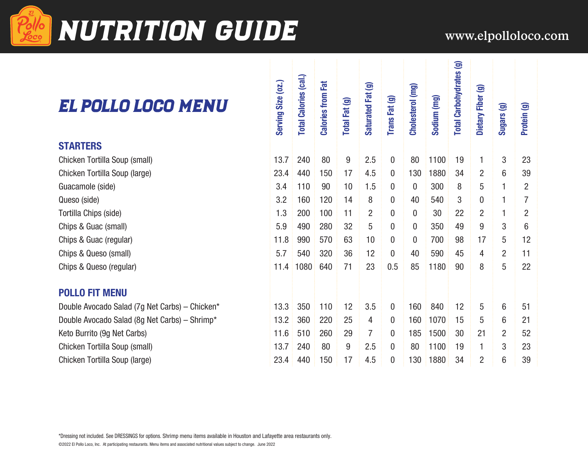

## **NUTRITION GUIDE** www.elpolloloco.com

### El Pollo Loco Menu

| EL POLLO LOGO MENU                             | Serving Size (oz.) | <b>Total Calories (cal.)</b> | <b>Calories from Fat</b> | Total Fat (g) | Saturated Fat (g) | Trans Fat (g)    | Cholesterol (mg) | Sodium (mg) | <b>Total Carbohydrates (g)</b> | Dietary Fiber (g) | Sugars (g)     | Protein (g)    |
|------------------------------------------------|--------------------|------------------------------|--------------------------|---------------|-------------------|------------------|------------------|-------------|--------------------------------|-------------------|----------------|----------------|
| <b>STARTERS</b>                                |                    |                              |                          |               |                   |                  |                  |             |                                |                   |                |                |
| Chicken Tortilla Soup (small)                  | 13.7               | 240                          | 80                       | 9             | 2.5               | 0                | 80               | 1100        | 19                             | $\mathbf{1}$      | 3              | 23             |
| Chicken Tortilla Soup (large)                  | 23.4               | 440                          | 150                      | 17            | 4.5               | 0                | 130              | 1880        | 34                             | $\overline{2}$    | 6              | 39             |
| Guacamole (side)                               | 3.4                | 110                          | 90                       | 10            | 1.5               | 0                | $\boldsymbol{0}$ | 300         | 8                              | 5                 | 1              | $\overline{2}$ |
| Queso (side)                                   | 3.2                | 160                          | 120                      | 14            | 8                 | 0                | 40               | 540         | 3                              | 0                 | 1              | 7              |
| Tortilla Chips (side)                          | 1.3                | 200                          | 100                      | 11            | $\overline{2}$    | $\boldsymbol{0}$ | $\bf{0}$         | 30          | 22                             | $\overline{2}$    | 1              | $\overline{2}$ |
| Chips & Guac (small)                           | 5.9                | 490                          | 280                      | 32            | 5                 | 0                | $\bf{0}$         | 350         | 49                             | 9                 | 3              | 6              |
| Chips & Guac (regular)                         | 11.8               | 990                          | 570                      | 63            | 10                | 0                | $\boldsymbol{0}$ | 700         | 98                             | 17                | 5              | 12             |
| Chips & Queso (small)                          | 5.7                | 540                          | 320                      | 36            | 12                | $\boldsymbol{0}$ | 40               | 590         | 45                             | 4                 | $\overline{2}$ | 11             |
| Chips & Queso (regular)                        | 11.4               | 1080                         | 640                      | 71            | 23                | 0.5              | 85               | 1180        | 90                             | 8                 | 5              | 22             |
| <b>POLLO FIT MENU</b>                          |                    |                              |                          |               |                   |                  |                  |             |                                |                   |                |                |
| Double Avocado Salad (7g Net Carbs) - Chicken* | 13.3               | 350                          | 110                      | 12            | 3.5               | 0                | 160              | 840         | 12                             | 5                 | 6              | 51             |
| Double Avocado Salad (8g Net Carbs) - Shrimp*  | 13.2               | 360                          | 220                      | 25            | 4                 | 0                | 160              | 1070        | 15                             | 5                 | 6              | 21             |
| Keto Burrito (9g Net Carbs)                    | 11.6               | 510                          | 260                      | 29            | $\overline{7}$    | 0                | 185              | 1500        | 30                             | 21                | $\overline{2}$ | 52             |
| Chicken Tortilla Soup (small)                  | 13.7               | 240                          | 80                       | 9             | 2.5               | 0                | 80               | 1100        | 19                             | 1                 | 3              | 23             |
| Chicken Tortilla Soup (large)                  | 23.4               | 440                          | 150                      | 17            | 4.5               | 0                | 130              | 1880        | 34                             | $\overline{2}$    | 6              | 39             |
|                                                |                    |                              |                          |               |                   |                  |                  |             |                                |                   |                |                |

#### **STARTERS**

#### **POLLO FIT MENU**

\*Dressing not included. See DRESSINGS for options. Shrimp menu items available in Houston and Lafayette area restaurants only.

©2022 El Pollo Loco, Inc. At participating restaurants. Menu items and associated nutritional values subject to change. June 2022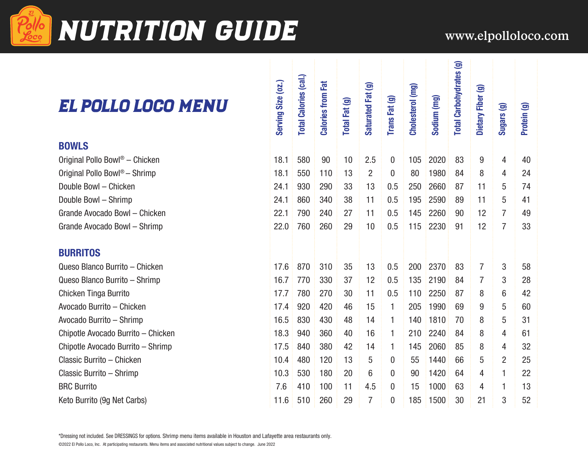

## **EXUTRITION GUIDE** www.elpolloloco.com

 $tes(9)$ 

### EL POLLO LOCO MEI

| EL POLLO LOGO MENU                         | Serving Size (oz.) | <b>Total Calories (cal.)</b> | <b>Calories from Fat</b> | Total Fat (g) | Saturated Fat (g) | Trans Fat (g) | Cholesterol (mg) | Sodium (mg) | <b>Total Carbohydrates (g)</b> | Dietary Fiber (g) | Sugars (g)     | Protein (g) |  |
|--------------------------------------------|--------------------|------------------------------|--------------------------|---------------|-------------------|---------------|------------------|-------------|--------------------------------|-------------------|----------------|-------------|--|
| <b>BOWLS</b>                               |                    |                              |                          |               |                   |               |                  |             |                                |                   |                |             |  |
| Original Pollo Bowl <sup>®</sup> - Chicken | 18.1               | 580                          | 90                       | 10            | 2.5               | $\mathbf 0$   | 105              | 2020        | 83                             | 9                 | 4              | 40          |  |
| Original Pollo Bowl <sup>®</sup> - Shrimp  | 18.1               | 550                          | 110                      | 13            | $\overline{2}$    | $\mathbf{0}$  | 80               | 1980        | 84                             | 8                 | 4              | 24          |  |
| Double Bowl - Chicken                      | 24.1               | 930                          | 290                      | 33            | 13                | 0.5           | 250              | 2660        | 87                             | 11                | 5              | 74          |  |
| Double Bowl - Shrimp                       | 24.1               | 860                          | 340                      | 38            | 11                | 0.5           | 195              | 2590        | 89                             | 11                | 5              | 41          |  |
| Grande Avocado Bowl - Chicken              | 22.1               | 790                          | 240                      | 27            | 11                | 0.5           | 145              | 2260        | 90                             | 12                | $\overline{7}$ | 49          |  |
| Grande Avocado Bowl - Shrimp               | 22.0               | 760                          | 260                      | 29            | 10                | 0.5           | 115              | 2230        | 91                             | 12                | $\overline{7}$ | 33          |  |
| <b>BURRITOS</b>                            |                    |                              |                          |               |                   |               |                  |             |                                |                   |                |             |  |
| Queso Blanco Burrito - Chicken             | 17.6               | 870                          | 310                      | 35            | 13                | 0.5           | 200              | 2370        | 83                             | $\overline{7}$    | 3              | 58          |  |
| Queso Blanco Burrito - Shrimp              | 16.7               | 770                          | 330                      | 37            | 12                | 0.5           | 135              | 2190        | 84                             | $\overline{7}$    | 3              | 28          |  |
| <b>Chicken Tinga Burrito</b>               | 17.7               | 780                          | 270                      | 30            | 11                | 0.5           | 110              | 2250        | 87                             | 8                 | 6              | 42          |  |
| Avocado Burrito - Chicken                  | 17.4               | 920                          | 420                      | 46            | 15                | 1             | 205              | 1990        | 69                             | 9                 | 5              | 60          |  |
| Avocado Burrito - Shrimp                   | 16.5               | 830                          | 430                      | 48            | 14                | $\mathbf{1}$  | 140              | 1810        | 70                             | 8                 | 5              | 31          |  |
| Chipotle Avocado Burrito - Chicken         | 18.3               | 940                          | 360                      | 40            | 16                | $\mathbf{1}$  | 210              | 2240        | 84                             | 8                 | 4              | 61          |  |
| Chipotle Avocado Burrito - Shrimp          | 17.5               | 840                          | 380                      | 42            | 14                | 1             | 145              | 2060        | 85                             | 8                 | 4              | 32          |  |
| Classic Burrito - Chicken                  | 10.4               | 480                          | 120                      | 13            | 5                 | $\mathbf 0$   | 55               | 1440        | 66                             | 5                 | $\overline{2}$ | 25          |  |
| Classic Burrito - Shrimp                   | 10.3               | 530                          | 180                      | 20            | 6                 | $\mathbf 0$   | 90               | 1420        | 64                             | 4                 | 1              | 22          |  |
| <b>BRC Burrito</b>                         | 7.6                | 410                          | 100                      | 11            | 4.5               | $\mathbf 0$   | 15               | 1000        | 63                             | 4                 | 1              | 13          |  |
| Keto Burrito (9g Net Carbs)                | 11.6               | 510                          | 260                      | 29            | $\overline{7}$    | $\mathbf{0}$  | 185              | 1500        | 30                             | 21                | 3              | 52          |  |

\*Dressing not included. See DRESSINGS for options. Shrimp menu items available in Houston and Lafayette area restaurants only.

©2022 El Pollo Loco, Inc. At participating restaurants. Menu items and associated nutritional values subject to change. June 2022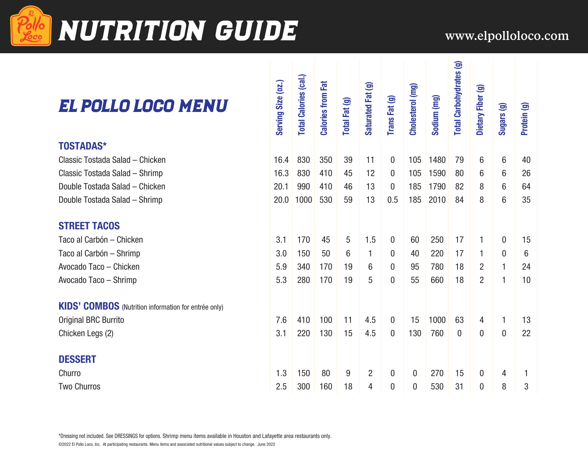

## NUTRITION GUIDE WWW.elpolloloco.com

### El Pollo Loco Menu

#### **TOSTADAS\***

### **STREET TACOS**

#### **DESSERT**

| Protein (g) |
|-------------|
|             |
| 40          |
| 26          |
| 64          |
| 35          |
|             |
| 15          |
| 6           |
| 24          |
| 10          |
|             |
| 13          |
| 22          |
|             |
|             |
|             |
|             |

 $\pm$ 

©2022 El Pollo Loco, Inc. At participating restaurants. Menu items and associated nutritional values subject to change. June 2022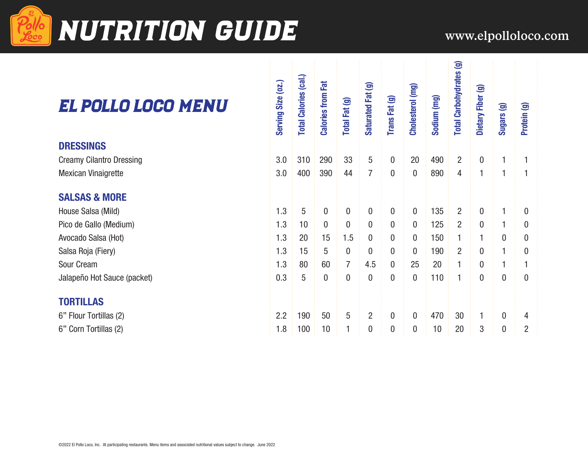

## **NUTRITION GUIDE** www.elpolloloco.com

### El Pollo Loco Menu

#### **DRESSINGS**

#### **SALSAS & MORE**

### **TORTILLAS**

| EL POLLO LOGO MENU              | Serving Size (oz.) | <b>Total Calories (cal.)</b> | 記<br><b>Calories from</b> | Total Fat (g)  | Saturated Fat (g) | Trans Fat (g)  | Cholesterol (mg) | Sodium (mg) | <b>Total Carbohydrates (g)</b> | Dietary Fiber (g) | Sugars (g)     | Protein (g) |  |
|---------------------------------|--------------------|------------------------------|---------------------------|----------------|-------------------|----------------|------------------|-------------|--------------------------------|-------------------|----------------|-------------|--|
| <b>DRESSINGS</b>                |                    |                              |                           |                |                   |                |                  |             |                                |                   |                |             |  |
| <b>Creamy Cilantro Dressing</b> | 3.0                | 310                          | 290                       | 33             | 5                 | $\mathbf 0$    | 20               | 490         | $\overline{2}$                 | $\boldsymbol{0}$  |                |             |  |
| Mexican Vinaigrette             | 3.0                | 400                          | 390                       | 44             | $\overline{7}$    | $\overline{0}$ | $\mathbf 0$      | 890         | 4                              | 1                 |                |             |  |
| <b>SALSAS &amp; MORE</b>        |                    |                              |                           |                |                   |                |                  |             |                                |                   |                |             |  |
| House Salsa (Mild)              | 1.3                | 5                            | $\overline{0}$            | 0              | $\mathbf{0}$      | $\mathbf 0$    | $\mathbf{0}$     | 135         | $\overline{2}$                 | 0                 |                | $\bf{0}$    |  |
| Pico de Gallo (Medium)          | 1.3                | 10                           | $\mathbf{0}$              | 0              | $\mathbf 0$       | $\overline{0}$ | 0                | 125         | $\overline{2}$                 | $\mathbf 0$       | 1              | 0           |  |
| Avocado Salsa (Hot)             | 1.3                | 20                           | 15                        | 1.5            | $\boldsymbol{0}$  | $\mathbf 0$    | 0                | 150         | 1                              | 1                 | 0              | 0           |  |
| Salsa Roja (Fiery)              | 1.3                | 15                           | 5                         | $\mathbf{0}$   | $\overline{0}$    | 0              | $\Omega$         | 190         | $\overline{2}$                 | $\mathbf 0$       |                | 0           |  |
| Sour Cream                      | 1.3                | 80                           | 60                        | $\overline{7}$ | 4.5               | $\bf{0}$       | 25               | 20          | 1                              | 0                 |                |             |  |
| Jalapeño Hot Sauce (packet)     | 0.3                | 5                            | $\mathbf{0}$              | $\mathbf{0}$   | $\mathbf 0$       | $\overline{0}$ | $\mathbf{0}$     | 110         | $\mathbf{1}$                   | $\boldsymbol{0}$  | $\overline{0}$ | $\bf{0}$    |  |
| <b>TORTILLAS</b>                |                    |                              |                           |                |                   |                |                  |             |                                |                   |                |             |  |
| 6" Flour Tortillas (2)          | 2.2                | 190                          | 50                        | 5              | $\overline{2}$    | $\overline{0}$ | $\mathbf{0}$     | 470         | 30                             | 1                 | $\mathbf 0$    | 4           |  |
| 6" Corn Tortillas (2)           | 1.8                | 100                          | 10                        |                | $\mathbf 0$       | 0              | 0                | 10          | 20                             | 3                 | 0              | 2           |  |
|                                 |                    |                              |                           |                |                   |                |                  |             |                                |                   |                |             |  |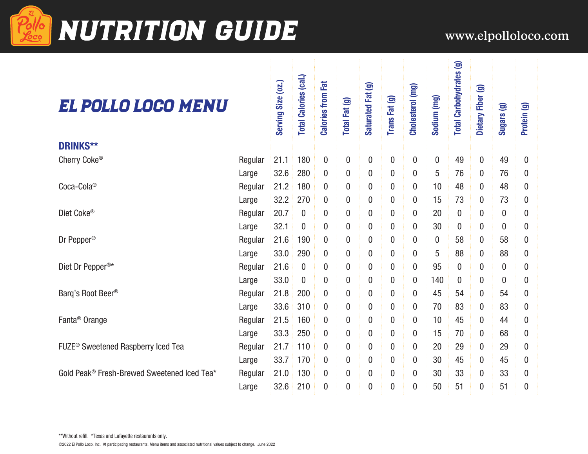

# Pollo NUTRITION GUIDE WWW.elpolloloco.com

tes (g)

### El Pollo Loco Menu

| EL POLLO LOGO MENU                             |         | Serving Size (oz.) | <b>Total Calories (cal.)</b> | <b>Calories from Fat</b> | Total Fat (g)    | Saturated Fat (g) | Trans Fat (g)    | Cholesterol (mg) | Sodium (mg) | <b>Total Carbohydrates (g)</b> | Dietary Fiber (g) | Sugars (g)       | Protein (g) |
|------------------------------------------------|---------|--------------------|------------------------------|--------------------------|------------------|-------------------|------------------|------------------|-------------|--------------------------------|-------------------|------------------|-------------|
| <b>DRINKS**</b>                                |         |                    |                              |                          |                  |                   |                  |                  |             |                                |                   |                  |             |
| Cherry Coke®                                   | Regular | 21.1               | 180                          | $\pmb{0}$                | $\bf{0}$         | $\boldsymbol{0}$  | $\pmb{0}$        | $\boldsymbol{0}$ | 0           | 49                             | $\boldsymbol{0}$  | 49               | 0           |
|                                                | Large   | 32.6               | 280                          | $\boldsymbol{0}$         | 0                | $\mathbf{0}$      | $\mathbf 0$      | 0                | 5           | 76                             | 0                 | 76               | 0           |
| Coca-Cola®                                     | Regular | 21.2               | 180                          | $\boldsymbol{0}$         | 0                | 0                 | $\mathbf 0$      | 0                | 10          | 48                             | 0                 | 48               | 0           |
|                                                | Large   | 32.2               | 270                          | $\mathbf{0}$             | $\boldsymbol{0}$ | $\mathbf{0}$      | $\mathbf 0$      | $\boldsymbol{0}$ | 15          | 73                             | 0                 | 73               | 0           |
| Diet Coke®                                     | Regular | 20.7               | $\boldsymbol{0}$             | $\boldsymbol{0}$         | $\boldsymbol{0}$ | $\boldsymbol{0}$  | $\mathbf 0$      | $\boldsymbol{0}$ | 20          | $\boldsymbol{0}$               | $\boldsymbol{0}$  | $\mathbf 0$      | 0           |
|                                                | Large   | 32.1               | $\boldsymbol{0}$             | $\mathbf 0$              | $\boldsymbol{0}$ | $\mathbf 0$       | $\boldsymbol{0}$ | $\mathbf 0$      | 30          | $\mathbf 0$                    | $\boldsymbol{0}$  | $\mathbf 0$      | 0           |
| Dr Pepper <sup>®</sup>                         | Regular | 21.6               | 190                          | $\boldsymbol{0}$         | 0                | 0                 | $\pmb{0}$        | $\boldsymbol{0}$ | 0           | 58                             | 0                 | 58               | 0           |
|                                                | Large   | 33.0               | 290                          | $\boldsymbol{0}$         | 0                | 0                 | $\pmb{0}$        | $\boldsymbol{0}$ | 5           | 88                             | 0                 | 88               | 0           |
| Diet Dr Pepper <sup>®*</sup>                   | Regular | 21.6               | $\boldsymbol{0}$             | $\mathbf 0$              | 0                | 0                 | $\pmb{0}$        | $\boldsymbol{0}$ | 95          | $\boldsymbol{0}$               | 0                 | $\boldsymbol{0}$ | 0           |
|                                                | Large   | 33.0               | $\overline{0}$               | $\mathbf 0$              | $\boldsymbol{0}$ | $\mathbf 0$       | $\mathbf 0$      | $\boldsymbol{0}$ | 140         | $\boldsymbol{0}$               | $\boldsymbol{0}$  | $\boldsymbol{0}$ | 0           |
| Barg's Root Beer®                              | Regular | 21.8               | 200                          | $\mathbf 0$              | $\overline{0}$   | $\boldsymbol{0}$  | $\mathbf 0$      | $\boldsymbol{0}$ | 45          | 54                             | 0                 | 54               | 0           |
|                                                | Large   | 33.6               | 310                          | $\mathbf{0}$             | $\overline{0}$   | $\overline{0}$    | $\mathbf 0$      | $\boldsymbol{0}$ | 70          | 83                             | $\boldsymbol{0}$  | 83               | 0           |
| Fanta <sup>®</sup> Orange                      | Regular | 21.5               | 160                          | $\boldsymbol{0}$         | 0                | 0                 | $\pmb{0}$        | 0                | 10          | 45                             | 0                 | 44               | 0           |
|                                                | Large   | 33.3               | 250                          | $\boldsymbol{0}$         | 0                | 0                 | $\pmb{0}$        | 0                | 15          | 70                             | 0                 | 68               | 0           |
| FUZE <sup>®</sup> Sweetened Raspberry Iced Tea | Regular | 21.7               | 110                          | $\boldsymbol{0}$         | 0                | 0                 | $\pmb{0}$        | 0                | 20          | 29                             | 0                 | 29               | 0           |
|                                                | Large   | 33.7               | 170                          | $\boldsymbol{0}$         | $\boldsymbol{0}$ | $\boldsymbol{0}$  | $\mathbf 0$      | $\boldsymbol{0}$ | 30          | 45                             | 0                 | 45               | 0           |
| Gold Peak® Fresh-Brewed Sweetened Iced Tea*    | Regular | 21.0               | 130                          | $\boldsymbol{0}$         | $\boldsymbol{0}$ | 0                 | $\pmb{0}$        | 0                | 30          | 33                             | 0                 | 33               | 0           |
|                                                | Large   | 32.6               | 210                          | $\overline{0}$           | $\overline{0}$   | $\overline{0}$    | $\overline{0}$   | $\overline{0}$   | 50          | 51                             | $\mathbf 0$       | 51               | 0           |